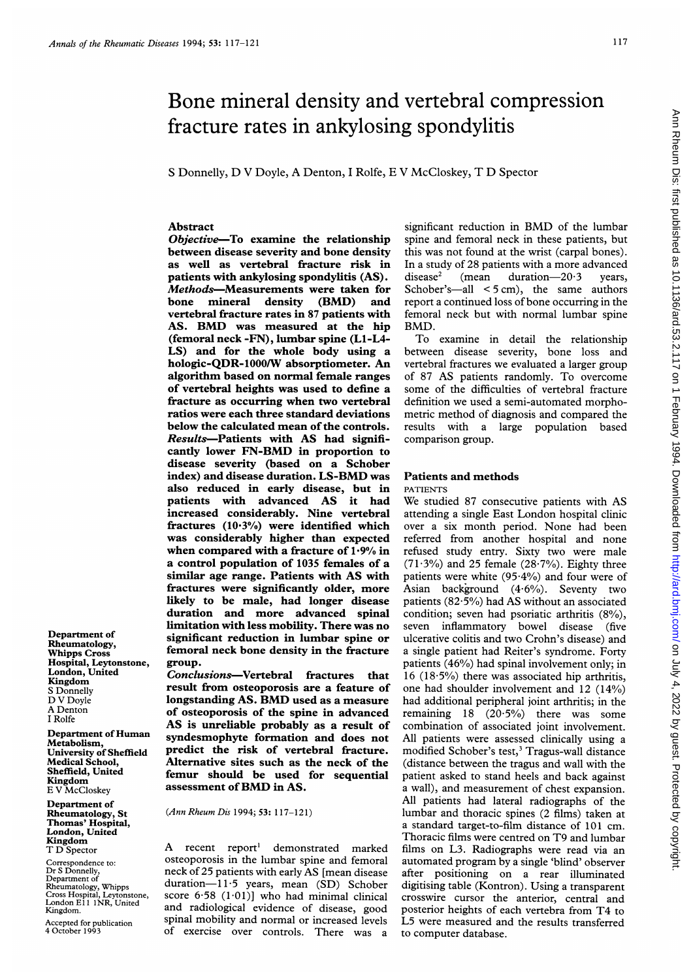# Bone mineral density and vertebral compression fracture rates in ankylosing spondylitis

<sup>S</sup> Donnelly, D V Doyle, A Denton, <sup>I</sup> Rolfe, E V McCloskey, T D Spector

# Abstract

Objective-To examine the relationship between disease severity and bone density as weli as vertebral fracture risk in patients with ankylosing spondylitis (AS). Methods-Measurements were taken for bone mineral density (BMD) and vertebral fracture rates in 87 patients with AS. BMD was measured at the hip (femoral neck -FN), lumbar spine (L1-L4- LS) and for the whole body using a hologic-QDR-1000/W absorptiometer. An algorithm based on normal female ranges of vertebral heights was used to define a fracture as occurring when two vertebral ratios were each three standard deviations below the calculated mean of the controls. Results-Patients with AS had significandy lower FN-BMD in proportion to disease severity (based on a Schober index) and disease duration. LS-BMD was also reduced in early disease, but in patients with advanced AS it had increased considerably. Nine vertebral fractures  $(10.3%)$  were identified which was considerably higher than expected when compared with a fracture of  $1.9%$  in a control population of 1035 females of a similar age range. Patients with AS with fractures were significantly older, more likely to be male, had longer disease duration and more advanced spinal limitation with less mobility. There was no significant reduction in lumbar spine or femoral neck bone density in the fracture group.

Conclusions-Vertebral fractures that result from osteoporosis are a feature of longstanding AS. BMD used as <sup>a</sup> measure of osteoporosis of the spine in advanced AS is unreliable probably as a result of syndesmophyte formation and does not predict the risk of vertebral fracture. Alternative sites such as the neck of the femur should be used for sequential assessment of BMD in AS.

(Ann Rheum Dis 1994; 53: 117-121)

A recent report' demonstrated marked osteoporosis in the lumbar spine and femoral neck of 25 patients with early AS [mean disease duration-11.5 years, mean (SD) Schober score  $6.58$   $(1.01)$ ] who had minimal clinical and radiological evidence of disease, good spinal mobility and normal or increased levels of exercise over controls. There was a

significant reduction in BMD of the lumbar spine and femoral neck in these patients, but this was not found at the wrist (carpal bones). In a study of 28 patients with a more advanced disease<sup>2</sup> (mean duration- $20.3$  years, Schober's-all  $\leq 5$  cm), the same authors report a continued loss of bone occurring in the femoral neck but with normal lumbar spine BMD.

To examine in detail the relationship between disease severity, bone loss and vertebral fractures we evaluated <sup>a</sup> larger group of 87 AS patients randomly. To overcome some of the difficulties of vertebral fracture definition we used <sup>a</sup> semi-automated morphometric method of diagnosis and compared the results with a large population based comparison group.

## Patients and methods

#### PATIENTS

We studied 87 consecutive patients with AS attending a single East London hospital clinic over <sup>a</sup> six month period. None had been referred from another hospital and none refused study entry. Sixty two were male  $(71.3\%)$  and 25 female  $(28.7\%)$ . Eighty three patients were white  $(95.4\%)$  and four were of Asian background  $(4.6\%)$ . Seventy two patients (82-5%) had AS without an associated condition; seven had psoriatic arthritis (8%), seven inflammatory bowel disease (five ulcerative colitis and two Crohn's disease) and a single patient had Reiter's syndrome. Forty patients (46%) had spinal involvement only; in 16 (18.5%) there was associated hip arthritis, one had shoulder involvement and 12 (14%) had additional peripheral joint arthritis; in the remaining  $18$   $(20.5\%)$  there was some combination of associated joint involvement. All patients were assessed clinically using a modified Schober's test,<sup>3</sup> Tragus-wall distance (distance between the tragus and wall with the patient asked to stand heels and back against a wall), and measurement of chest expansion. All patients had lateral radiographs of the lumbar and thoracic spines (2 films) taken at a standard target-to-film distance of 101 cm. Thoracic films were centred on T9 and lumbar films on L3. Radiographs were read via an automated program by a single 'blind' observer after positioning on a rear illuminated digitising table (Kontron). Using a transparent crosswire cursor the anterior, central and posterior heights of each vertebra from T4 to L5 were measured and the results transferred to computer database.

Department of Rheumatology, Whipps Cross Hospital, Leytonstone, London, United Kingdom S Donnelly D V Doyle A Denton I Rolfe

Department of Human Metabolism, University of Sheffield Medical School, Sheffield, United Kingdom E V McCloskey

Department of Rheumatology, St Thomas' Hospital, London, United Kingdom T D Spector

Correspondence to: Dr S Donnelly, Department of Rheumatology, Whipps<br>Cross Hospital, Leytonstone,<br>London E11 1NR, United Kingdom.

Accepted for publication 4 October 1993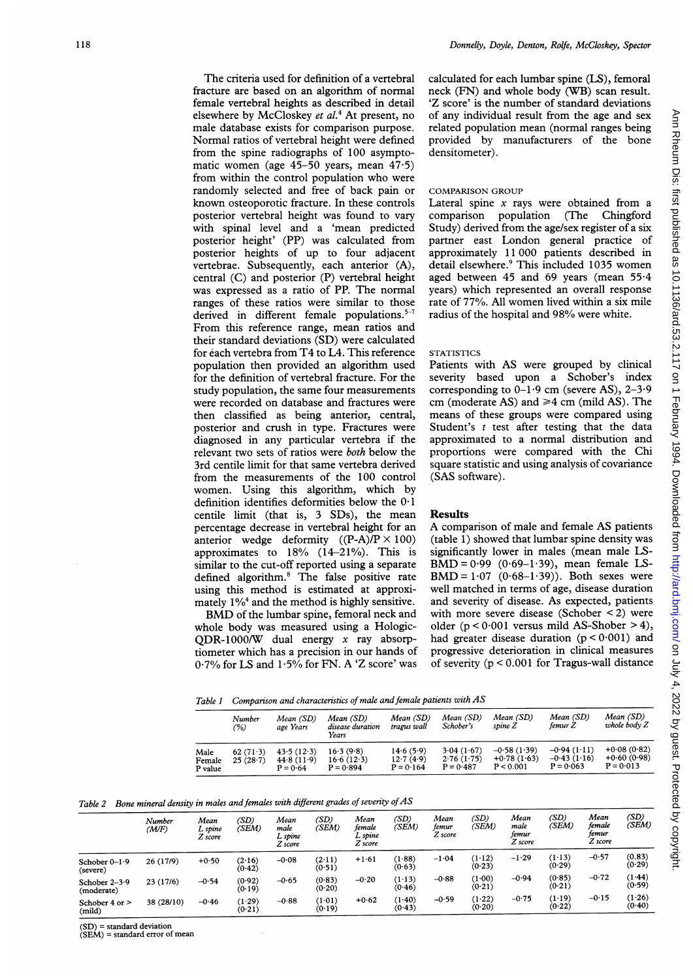The criteria used for definition of a vertebral fracture are based on an algorithm of normal female vertebral heights as described in detail elsewhere by McCloskey et al.<sup>4</sup> At present, no male database exists for comparison purpose. Normal ratios of vertebral height were defined from the spine radiographs of 100 asymptomatic women (age 45-50 years, mean 47.5) from within the control population who were randomly selected and free of back pain or known osteoporotic fracture. In these controls posterior vertebral height was found to vary with spinal level and a 'mean predicted posterior height' (PP) was calculated from posterior heights of up to four adjacent vertebrae. Subsequently, each anterior (A), central (C) and posterior (P) vertebral height was expressed as <sup>a</sup> ratio of PP. The normal ranges of these ratios were similar to those derived in different female populations.<sup>5-1</sup> From this reference range, mean ratios and their standard deviations (SD) were calculated for each vertebra from T4 to L4. This reference population then provided an algorithm used for the definition of vertebral fracture. For the study population, the same four measurements were recorded on database and fractures were then classified as being anterior, central, posterior and crush in type. Fractures were diagnosed in any particular vertebra if the relevant two sets of ratios were both below the 3rd centile limit for that same vertebra derived from the measurements of the 100 control women. Using this algorithm, which by definition identifies deformities below the  $0.1$ centile limit (that is, 3 SDs), the mean percentage decrease in vertebral height for an anterior wedge deformity  $((P-A)/P \times 100)$ approximates to  $18\%$  (14-21%). This is similar to the cut-off reported using a separate defined algorithm.8 The false positive rate using this method is estimated at approximately 1%4 and the method is highly sensitive.

BMD of the lumbar spine, femoral neck and whole body was measured using a Hologic-QDR-1000/W dual energy x ray absorptiometer which has a precision in our hands of 0.7% for LS and 1.5% for FN. A 'Z score' was

calculated for each lumbar spine (LS), femoral neck (FN) and whole body (WB) scan result. 'Z score' is the number of standard deviations of any individual result from the age and sex related population mean (normal ranges being provided by manufacturers of the bone densitometer).

## COMPARISON GROUP

Lateral spine  $x$  rays were obtained from a comparison population (The Chingford Study) derived from the age/sex register of a six partner east London general practice of approximately 11 000 patients described in detail elsewhere.9 This included 1035 women aged between  $45$  and  $69$  years (mean  $55.4$ years) which represented an overall response rate of 77%. All women lived within <sup>a</sup> six mile radius of the hospital and 98% were white.

#### **STATISTICS**

Patients with AS were grouped by clinical severity based upon a Schober's index corresponding to  $0-1.9$  cm (severe AS),  $2-3.9$ cm (moderate AS) and  $\geq 4$  cm (mild AS). The means of these groups were compared using Student's  $t$  test after testing that the data approximated to a normal distribution and proportions were compared with the Chi square statistic and using analysis of covariance (SAS software).

## Results

A comparison of male and female AS patients (table 1) showed that lumbar spine density was significantly lower in males (mean male LS-BMD =  $0.99$  ( $0.69-1.39$ ), mean female LS-BMD =  $1.07$  (0.68-1.39)). Both sexes were well matched in terms of age, disease duration and severity of disease. As expected, patients with more severe disease (Schober < 2) were older  $(p < 0.001$  versus mild AS-Shober > 4), had greater disease duration  $(p < 0.001)$  and progressive deterioration in clinical measures of severity  $(p < 0.001$  for Tragus-wall distance

Table 1 Comparison and characteristics of male and female patients with AS

|                           | Number               | Mean (SD)                              | Mean (SD)                                       | Mean (SD)                             | Mean (SD)                               | Mean (SD)                                   | Mean (SD)                                     | Mean (SD)                                     |  |
|---------------------------|----------------------|----------------------------------------|-------------------------------------------------|---------------------------------------|-----------------------------------------|---------------------------------------------|-----------------------------------------------|-----------------------------------------------|--|
|                           | (%)                  | age Years                              | disease duration                                | tragus wall                           | Schober's                               | spine Z                                     | femur Z                                       | whole body $Z$                                |  |
| Male<br>Female<br>P value | 62(71.3)<br>25(28.7) | 43.5(12.3)<br>44.8(11.9)<br>$P = 0.64$ | Years<br>16.3(9.8)<br>16.6(12.3)<br>$P = 0.894$ | 14.6(5.9)<br>12.7(4.9)<br>$P = 0.164$ | 3.04(1.67)<br>2.76(1.75)<br>$P = 0.487$ | $-0.58(1.39)$<br>$+0.78(1.63)$<br>P < 0.001 | $-0.94(1.11)$<br>$-0.43(1.16)$<br>$P = 0.063$ | $+0.08(0.82)$<br>$+0.60(0.98)$<br>$P = 0.013$ |  |

|  |  |  |  | Table 2 Bone mineral density in males and females with different grades of severity of AS |  |  |  |  |  |
|--|--|--|--|-------------------------------------------------------------------------------------------|--|--|--|--|--|
|--|--|--|--|-------------------------------------------------------------------------------------------|--|--|--|--|--|

|                               | Number<br>(M/F) | Mean<br>L spine<br>Z score | (SD)<br>(SEM)    | Mean<br>male<br>L spine<br>Z score | (SD)<br>(SEM)    | Mean<br>female<br>L spine<br>Z score | (SD)<br>(SEM)      | Mean<br>femur<br>Z score | (SD)<br>(SEM)    | Mean<br>male<br>femur<br>Z score | (SD)<br>(SEM)      | Mean<br>female<br>femur<br>Z score | (SD)<br>(SEM)    |
|-------------------------------|-----------------|----------------------------|------------------|------------------------------------|------------------|--------------------------------------|--------------------|--------------------------|------------------|----------------------------------|--------------------|------------------------------------|------------------|
| Schober $0-1.9$<br>(severe)   | 26 (17/9)       | $+0.50$                    | (2.16)<br>(0.42) | $-0.08$                            | (2.11)<br>(0.51) | $+1.61$                              | (1.88)<br>(0.63)   | $-1.04$                  | (1.12)<br>(0.23) | $-1.29$                          | (1.13)<br>(0.29)   | $-0.57$                            | (0.83)<br>(0.29) |
| Schober $2-3.9$<br>(moderate) | 23(17/6)        | $-0.54$                    | (0.92)<br>(0.19) | $-0.65$                            | (0.83)<br>(0.20) | $-0.20$                              | $(1-13)$<br>(0.46) | $-0.88$                  | (1.00)<br>(0.21) | $-0.94$                          | (0.85)<br>(0.21)   | $-0.72$                            | (1.44)<br>(0.59) |
| Schober 4 or ><br>(mild)      | 38 (28/10)      | $-0.46$                    | (1.29)<br>(0.21) | $-0.88$                            | (1.01)<br>(0.19) | $+0.62$                              | (1.40)<br>(0.43)   | $-0.59$                  | (1.22)<br>(0.20) | $-0.75$                          | $(1-19)$<br>(0.22) | $-0.15$                            | (1.26)<br>(0.40) |

 $(SD)$  = standard deviation

 $(SEM)$  = standard error of mean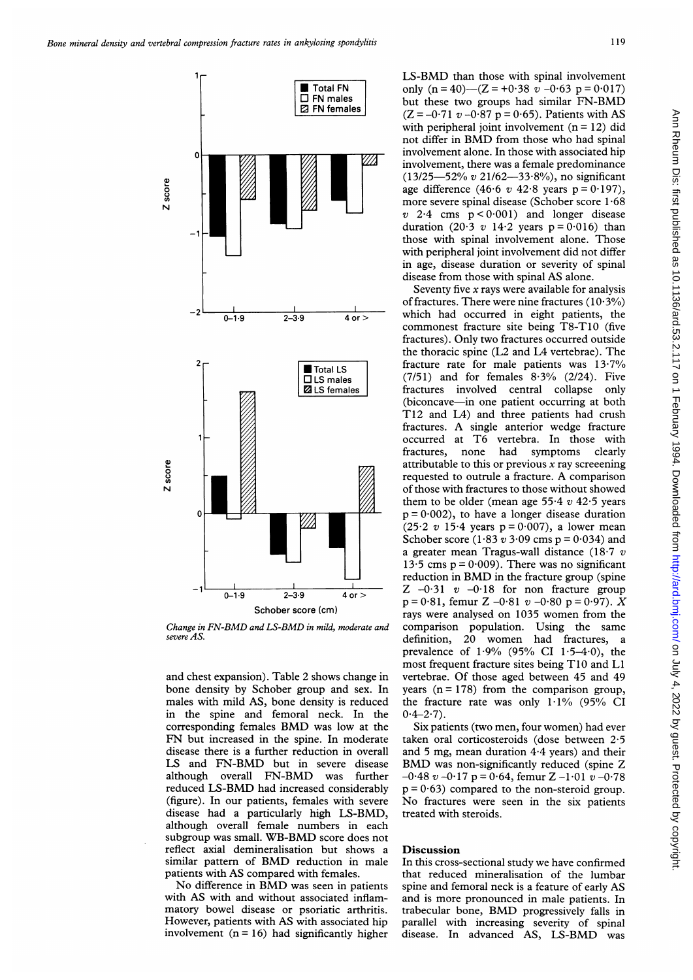

Change in FN-BMD and LS-BMD in mild, moderate and severe AS.

and chest expansion). Table 2 shows change in bone density by Schober group and sex. In males with mild AS, bone density is reduced in the spine and femoral neck. In the corresponding females BMD was low at the FN but increased in the spine. In moderate disease there is a further reduction in overall LS and FN-BMD but in severe disease although overall FN-BMD was further reduced LS-BMD had increased considerably (figure). In our patients, females with severe disease had <sup>a</sup> particularly high LS-BMD, although overall female numbers in each subgroup was small. WB-BMD score does not reflect axial demineralisation but shows a similar pattern of BMD reduction in male patients with AS compared with females.

No difference in BMD was seen in patients with AS with and without associated inflammatory bowel disease or psoriatic arthritis. However, patients with AS with associated hip involvement  $(n = 16)$  had significantly higher LS-BMD than those with spinal involvement only  $(n = 40)$ — $(Z = +0.38 \, v -0.63 \, p = 0.017)$ but these two groups had similar FN-BMD  $(Z = -0.71 \ v -0.87 \ p = 0.65)$ . Patients with AS with peripheral joint involvement  $(n = 12)$  did not differ in BMD from those who had spinal involvement alone. In those with associated hip involvement, there was a female predominance  $(13/25 - 52\% v 21/62 - 33.8\%)$ , no significant age difference (46.6 v 42.8 years  $p = 0.197$ ), more severe spinal disease (Schober score 1-68  $v$  2.4 cms  $p < 0.001$  and longer disease duration (20.3 v 14.2 years  $p = 0.016$ ) than those with spinal involvement alone. Those with peripheral joint involvement did not differ in age, disease duration or severity of spinal disease from those with spinal AS alone.

Seventy five  $x$  rays were available for analysis of fractures. There were nine fractures  $(10.3\%)$ which had occurred in eight patients, the commonest fracture site being T8-T10 (five fractures). Only two fractures occurred outside the thoracic spine (L2 and L4 vertebrae). The fracture rate for male patients was 13.7%  $(7/51)$  and for females  $8.3%$   $(2/24)$ . Five fractures involved central collapse only (biconcave-in one patient occurring at both T12 and L4) and three patients had crush fractures. A single anterior wedge fracture occurred at T6 vertebra. In those with fractures, none had symptoms clearly attributable to this or previous  $x$  ray screeening requested to outrule <sup>a</sup> fracture. A comparison of those with fractures to those without showed them to be older (mean age  $55.4 v 42.5$  years  $p = 0.002$ , to have a longer disease duration (25.2 v 15.4 years  $p = 0.007$ ), a lower mean Schober score (1.83 v 3.09 cms p = 0.034) and a greater mean Tragus-wall distance  $(18.7 v)$ 13.5 cms  $p = 0.009$ ). There was no significant reduction in BMD in the fracture group (spine Z  $-0.31$  v  $-0.18$  for non fracture group  $p = 0.81$ , femur Z  $-0.81$  v  $-0.80$  p = 0.97). X rays were analysed on 1035 women from the comparison population. Using the same definition, 20 women had fractures, <sup>a</sup> prevalence of  $1.9\%$  (95% CI 1.5-4.0), the most frequent fracture sites being T10 and LI vertebrae. Of those aged between 45 and 49 years  $(n = 178)$  from the comparison group, the fracture rate was only  $1.1\%$  (95% CI  $0.4 - 2.7$ .

Six patients (two men, four women) had ever taken oral corticosteroids (dose between 2-5 and 5 mg, mean duration  $4.4$  years) and their BMD was non-significantly reduced (spine Z  $-0.48 v -0.17 p = 0.64$ , femur Z  $-1.01 v -0.78$  $p = 0.63$ ) compared to the non-steroid group. No fractures were seen in the six patients treated with steroids.

## Discussion

In this cross-sectional study we have confirmed that reduced mineralisation of the lumbar spine and femoral neck is <sup>a</sup> feature of early AS and is more pronounced in male patients. In trabecular bone, BMD progressively falls in parallel with increasing severity of spinal disease. In advanced AS, LS-BMD was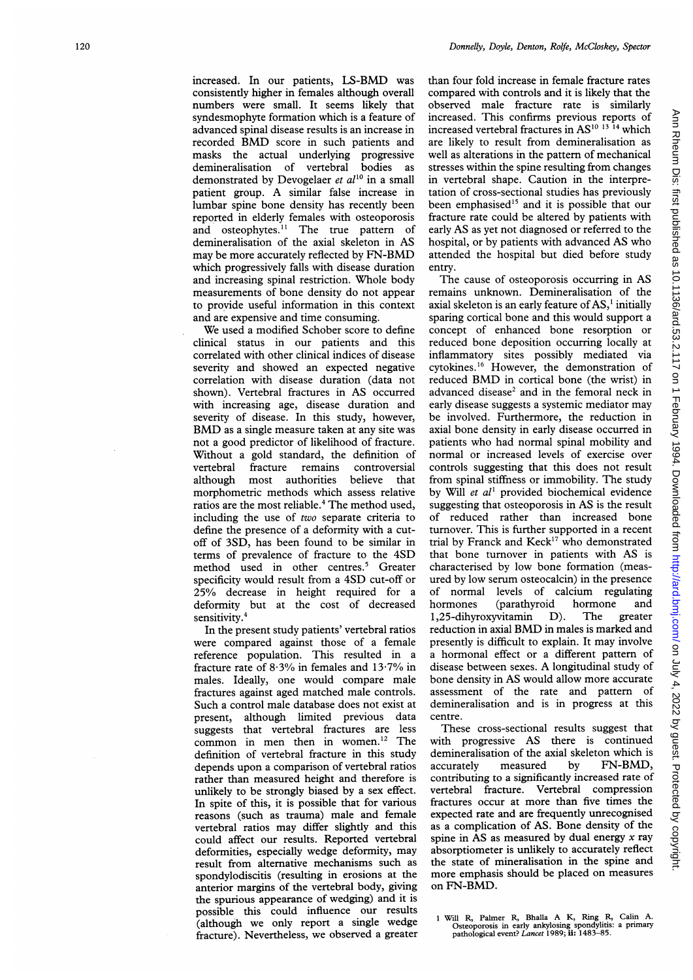increased. In our patients, LS-BMD was consistently higher in females although overall numbers were small. It seems likely that syndesmophyte formation which is a feature of advanced spinal disease results is an increase in recorded BMD score in such patients and masks the actual underlying progressive demineralisation of vertebral bodies as demonstrated by Devogelaer *et al*<sup>10</sup> in a small patient group. A similar false increase in lumbar spine bone density has recently been reported in elderly females with osteoporosis and osteophytes.<sup>11</sup> The true pattern of demineralisation of the axial skeleton in AS may be more accurately reflected by FN-BMD which progressively falls with disease duration and increasing spinal restriction. Whole body measurements of bone density do not appear to provide useful information in this context and are expensive and time consuming.

We used a modified Schober score to define clinical status in our patients and this correlated with other clinical indices of disease severity and showed an expected negative correlation with disease duration (data not shown). Vertebral fractures in AS occurred with increasing age, disease duration and severity of disease. In this study, however, BMD as a single measure taken at any site was not a good predictor of likelihood of fracture. Without a gold standard, the definition of vertebral fracture remains controversial although most authorities believe that morphometric methods which assess relative ratios are the most reliable.<sup>4</sup> The method used, including the use of two separate criteria to define the presence of a deformity with a cutoff of 3SD, has been found to be similar in terms of prevalence of fracture to the 4SD method used in other centres.<sup>5</sup> Greater specificity would result from <sup>a</sup> 4SD cut-off or 25% decrease in height required for a deformity but at the cost of decreased sensitivity.<sup>4</sup>

In the present study patients' vertebral ratios were compared against those of a female reference population. This resulted in a fracture rate of 8-3% in females and 13-7% in males. Ideally, one would compare male fractures against aged matched male controls. Such a control male database does not exist at present, although limited previous data suggests that vertebral fractures are less common in men then in women.<sup>12</sup> The common in men then in women. $^{12}$ definition of vertebral fracture in this study depends upon a comparison of vertebral ratios rather than measured height and therefore is unlikely to be strongly biased by a sex effect. In spite of this, it is possible that for various reasons (such as trauma) male and female vertebral ratios may differ slightly and this could affect our results. Reported vertebral deformities, especially wedge deformity, may result from alternative mechanisms such as spondylodiscitis (resulting in erosions at the anterior margins of the vertebral body, giving the spurious appearance of wedging) and it is possible this could influence our results (although we only report a single wedge fracture). Nevertheless, we observed a greater

than four fold increase in female fracture rates compared with controls and it is likely that the observed male fracture rate is similarly increased. This confirms previous reports of increased vertebral fractures in  $AS^{10}$  <sup>13 14</sup> which are likely to result from demineralisation as well as alterations in the pattern of mechanical stresses within the spine resulting from changes in vertebral shape. Caution in the interpretation of cross-sectional studies has previously been emphasised<sup>15</sup> and it is possible that our fracture rate could be altered by patients with early AS as yet not diagnosed or referred to the hospital, or by patients with advanced AS who attended the hospital but died before study entry.

The cause of osteoporosis occurring in AS remains unknown. Demineralisation of the axial skeleton is an early feature of AS,' initially sparing cortical bone and this would support a concept of enhanced bone resorption or reduced bone deposition occurring locally at inflammatory sites possibly mediated via cytokines.<sup>16</sup> However, the demonstration of reduced BMD in cortical bone (the wrist) in advanced disease<sup>2</sup> and in the femoral neck in early disease suggests <sup>a</sup> systemic mediator may be involved. Furthermore, the reduction in axial bone density in early disease occurred in patients who had normal spinal mobility and normal or increased levels of exercise over controls suggesting that this does not result from spinal stiffness or immobility. The study by Will  $et$   $al<sup>1</sup>$  provided biochemical evidence suggesting that osteoporosis in AS is the result of reduced rather than increased bone turnover. This is further supported in a recent trial by Franck and Keck<sup>17</sup> who demonstrated that bone turnover in patients with AS is characterised by low bone formation (measured by low serum osteocalcin) in the presence of normal levels of calcium regulating hormones (parathyroid hormone and <sup>1</sup> ,25-dihyroxyvitamin D). The greater reduction in axial BMD in males is marked and presently is difficult to explain. It may involve a hormonal effect or a different pattern of disease between sexes. A longitudinal study of bone density in AS would allow more accurate assessment of the rate and pattern of demineralisation and is in progress at this centre.

These cross-sectional results suggest that with progressive AS there is continued demineralisation of the axial skeleton which is accurately measured by FN-BMD, contributing to a significantly increased rate of vertebral fracture. Vertebral compression fractures occur at more than five times the expected rate and are frequently unrecognised as a complication of AS. Bone density of the spine in AS as measured by dual energy  $x$  ray absorptiometer is unlikely to accurately reflect the state of mineralisation in the spine and more emphasis should be placed on measures on FN-BMD.

<sup>1</sup> Will R, Palmer R, Bhalla A K, Ring R, Calin A. Osteoporosis in early ankylosing spondylitis: a primary pathological event? Lancet 1989; ii: 1483-85.